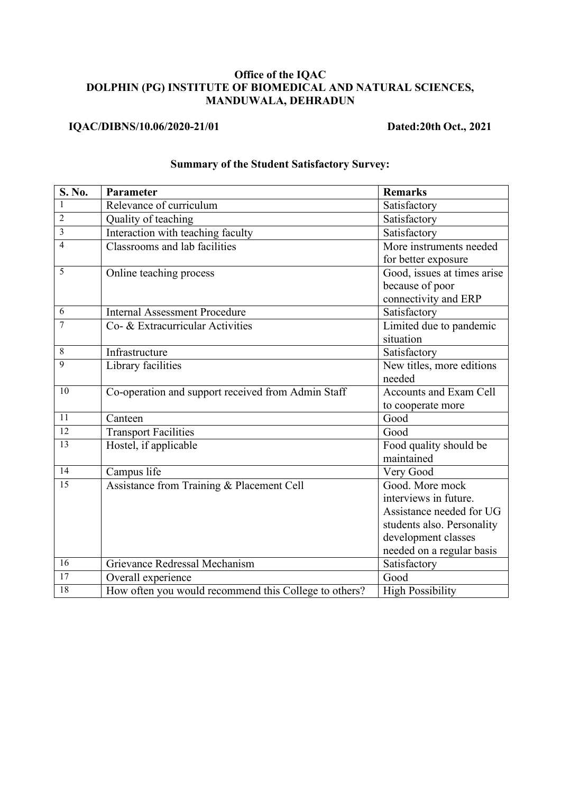## **Office of the IQAC DOLPHIN (PG) INSTITUTE OF BIOMEDICAL AND NATURAL SCIENCES, MANDUWALA, DEHRADUN**

## **IQAC/DIBNS/10.06/2020-21/01 Dated:20th Oct., 2021**

| S. No.                  | Parameter                                             | <b>Remarks</b>                |
|-------------------------|-------------------------------------------------------|-------------------------------|
|                         | Relevance of curriculum                               | Satisfactory                  |
| $\overline{2}$          | Quality of teaching                                   | Satisfactory                  |
| $\overline{\mathbf{3}}$ | Interaction with teaching faculty                     | Satisfactory                  |
| $\overline{4}$          | Classrooms and lab facilities                         | More instruments needed       |
|                         |                                                       | for better exposure           |
| 5                       | Online teaching process                               | Good, issues at times arise   |
|                         |                                                       | because of poor               |
|                         |                                                       | connectivity and ERP          |
| 6                       | <b>Internal Assessment Procedure</b>                  | Satisfactory                  |
| 7                       | Co- & Extracurricular Activities                      | Limited due to pandemic       |
|                         |                                                       | situation                     |
| 8                       | Infrastructure                                        | Satisfactory                  |
| 9                       | Library facilities                                    | New titles, more editions     |
|                         |                                                       | needed                        |
| 10                      | Co-operation and support received from Admin Staff    | <b>Accounts and Exam Cell</b> |
|                         |                                                       | to cooperate more             |
| 11                      | Canteen                                               | Good                          |
| 12                      | <b>Transport Facilities</b>                           | Good                          |
| $\overline{13}$         | Hostel, if applicable                                 | Food quality should be        |
|                         |                                                       | maintained                    |
| $\overline{14}$         | Campus life                                           | Very Good                     |
| 15                      | Assistance from Training & Placement Cell             | Good. More mock               |
|                         |                                                       | interviews in future.         |
|                         |                                                       | Assistance needed for UG      |
|                         |                                                       | students also. Personality    |
|                         |                                                       | development classes           |
|                         |                                                       | needed on a regular basis     |
| 16                      | Grievance Redressal Mechanism                         | Satisfactory                  |
| 17                      | Overall experience                                    | Good                          |
| $\overline{18}$         | How often you would recommend this College to others? | <b>High Possibility</b>       |

## **Summary of the Student Satisfactory Survey:**